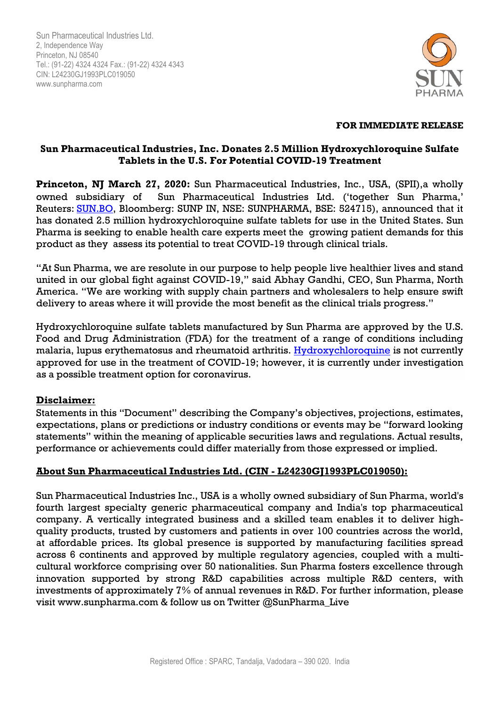Sun Pharmaceutical Industries Ltd. 2, Independence Way Princeton, NJ 08540 Tel.: (91-22) 4324 4324 Fax.: (91-22) 4324 4343 CIN: L24230GJ1993PLC019050 www.sunpharma.com



#### **FOR IMMEDIATE RELEASE**

## **Sun Pharmaceutical Industries, Inc. Donates 2.5 Million Hydroxychloroquine Sulfate Tablets in the U.S. For Potential COVID-19 Treatment**

**Princeton, NJ March 27, 2020:** Sun Pharmaceutical Industries, Inc., USA, (SPII),a wholly owned subsidiary of Sun Pharmaceutical Industries Ltd. ('together Sun Pharma,' Reuters: [SUN.BO,](https://urldefense.proofpoint.com/v2/url?u=http-3A__SUN.BO&d=DwMFaQ&c=euGZstcaTDllvimEN8b7jXrwqOf-v5A_CdpgnVfiiMM&r=8vyrROrGMskRAjRLHORPkbgTiZilRcnpMA9krDNKBR8&m=X2u_6FkNpoFhkeXz5aCZtG6frlvywMVo-U2ZqweHFV4&s=dGBgwt8LpVu9MpAgnbAubPchaN6WiqE7BNx2BfNnD9w&e=) Bloomberg: SUNP IN, NSE: SUNPHARMA, BSE: 524715), announced that it has donated 2.5 million hydroxychloroquine sulfate tablets for use in the United States. Sun Pharma is seeking to enable health care experts meet the growing patient demands for this product as they assess its potential to treat COVID-19 through clinical trials.

"At Sun Pharma, we are resolute in our purpose to help people live healthier lives and stand united in our global fight against COVID-19," said Abhay Gandhi, CEO, Sun Pharma, North America. "We are working with supply chain partners and wholesalers to help ensure swift delivery to areas where it will provide the most benefit as the clinical trials progress."

Hydroxychloroquine sulfate tablets manufactured by Sun Pharma are approved by the U.S. Food and Drug Administration (FDA) for the treatment of a range of conditions including malaria, lupus erythematosus and rheumatoid arthritis. Hydroxychloroquine is not currently approved for use in the treatment of COVID-19; however, it is currently under investigation as a possible treatment option for coronavirus.

## **Disclaimer:**

Statements in this "Document" describing the Company's objectives, projections, estimates, expectations, plans or predictions or industry conditions or events may be "forward looking statements" within the meaning of applicable securities laws and regulations. Actual results, performance or achievements could differ materially from those expressed or implied.

#### **About Sun Pharmaceutical Industries Ltd. (CIN - L24230GJ1993PLC019050):**

Sun Pharmaceutical Industries Inc., USA is a wholly owned subsidiary of Sun Pharma, world's fourth largest specialty generic pharmaceutical company and India's top pharmaceutical company. A vertically integrated business and a skilled team enables it to deliver highquality products, trusted by customers and patients in over 100 countries across the world, at affordable prices. Its global presence is supported by manufacturing facilities spread across 6 continents and approved by multiple regulatory agencies, coupled with a multicultural workforce comprising over 50 nationalities. Sun Pharma fosters excellence through innovation supported by strong R&D capabilities across multiple R&D centers, with investments of approximately 7% of annual revenues in R&D. For further information, please visit www.sunpharma.com & follow us on Twitter @SunPharma\_Live